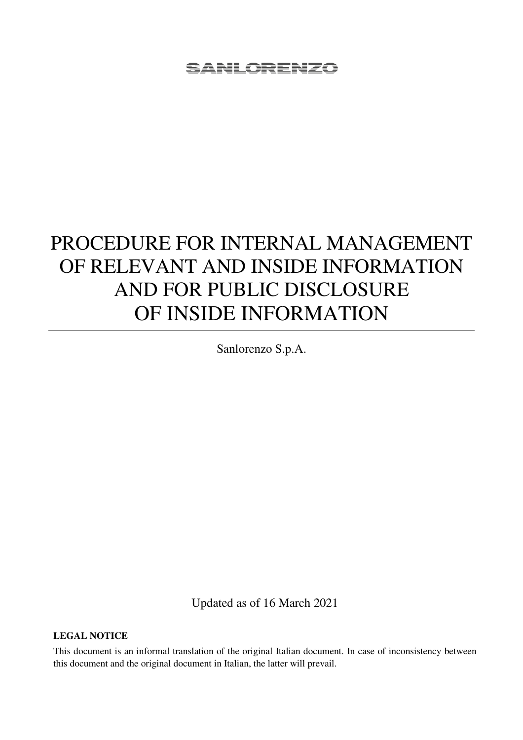# PROCEDURE FOR INTERNAL MANAGEMENT OF RELEVANT AND INSIDE INFORMATION AND FOR PUBLIC DISCLOSURE OF INSIDE INFORMATION

Sanlorenzo S.p.A.

Updated as of 16 March 2021

**LEGAL NOTICE** 

This document is an informal translation of the original Italian document. In case of inconsistency between this document and the original document in Italian, the latter will prevail.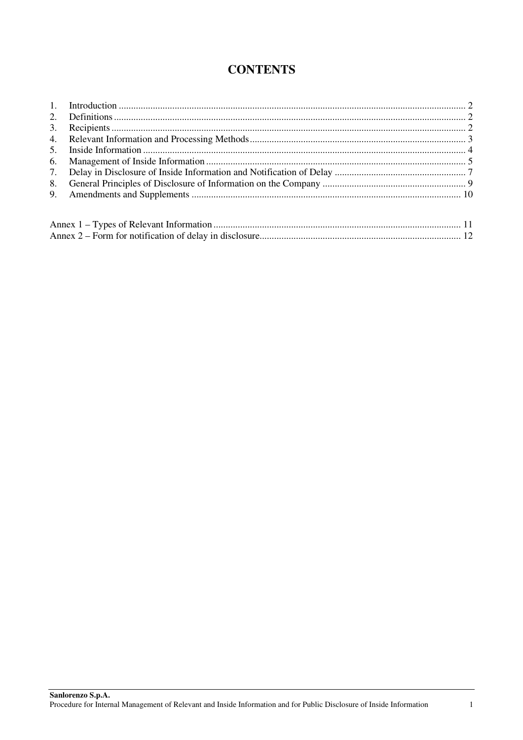## **CONTENTS**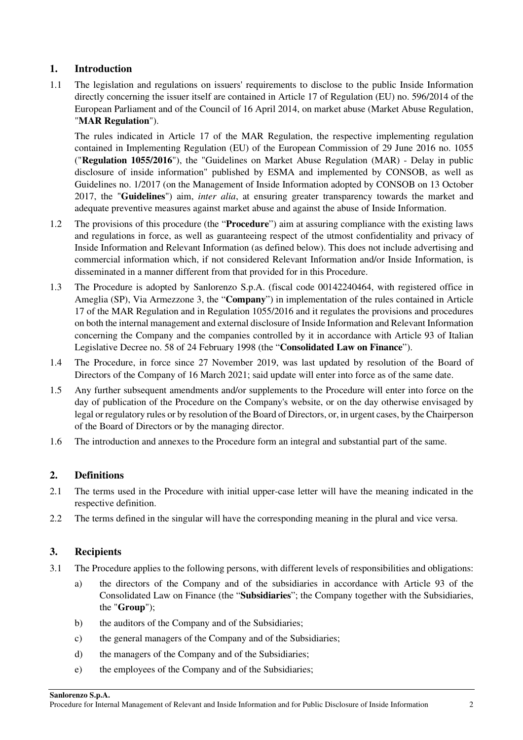#### **1. Introduction**

1.1 The legislation and regulations on issuers' requirements to disclose to the public Inside Information directly concerning the issuer itself are contained in Article 17 of Regulation (EU) no. 596/2014 of the European Parliament and of the Council of 16 April 2014, on market abuse (Market Abuse Regulation, "**MAR Regulation**").

The rules indicated in Article 17 of the MAR Regulation, the respective implementing regulation contained in Implementing Regulation (EU) of the European Commission of 29 June 2016 no. 1055 ("**Regulation 1055/2016**"), the "Guidelines on Market Abuse Regulation (MAR) - Delay in public disclosure of inside information" published by ESMA and implemented by CONSOB, as well as Guidelines no. 1/2017 (on the Management of Inside Information adopted by CONSOB on 13 October 2017, the "**Guidelines**") aim, *inter alia*, at ensuring greater transparency towards the market and adequate preventive measures against market abuse and against the abuse of Inside Information.

- 1.2 The provisions of this procedure (the "**Procedure**") aim at assuring compliance with the existing laws and regulations in force, as well as guaranteeing respect of the utmost confidentiality and privacy of Inside Information and Relevant Information (as defined below). This does not include advertising and commercial information which, if not considered Relevant Information and/or Inside Information, is disseminated in a manner different from that provided for in this Procedure.
- 1.3 The Procedure is adopted by Sanlorenzo S.p.A. (fiscal code 00142240464, with registered office in Ameglia (SP), Via Armezzone 3, the "**Company**") in implementation of the rules contained in Article 17 of the MAR Regulation and in Regulation 1055/2016 and it regulates the provisions and procedures on both the internal management and external disclosure of Inside Information and Relevant Information concerning the Company and the companies controlled by it in accordance with Article 93 of Italian Legislative Decree no. 58 of 24 February 1998 (the "**Consolidated Law on Finance**").
- 1.4 The Procedure, in force since 27 November 2019, was last updated by resolution of the Board of Directors of the Company of 16 March 2021; said update will enter into force as of the same date.
- 1.5 Any further subsequent amendments and/or supplements to the Procedure will enter into force on the day of publication of the Procedure on the Company's website, or on the day otherwise envisaged by legal or regulatory rules or by resolution of the Board of Directors, or, in urgent cases, by the Chairperson of the Board of Directors or by the managing director.
- 1.6 The introduction and annexes to the Procedure form an integral and substantial part of the same.

#### **2. Definitions**

- 2.1 The terms used in the Procedure with initial upper-case letter will have the meaning indicated in the respective definition.
- 2.2 The terms defined in the singular will have the corresponding meaning in the plural and vice versa.

#### **3. Recipients**

- 3.1 The Procedure applies to the following persons, with different levels of responsibilities and obligations:
	- a) the directors of the Company and of the subsidiaries in accordance with Article 93 of the Consolidated Law on Finance (the "**Subsidiaries**"; the Company together with the Subsidiaries, the "**Group**");
	- b) the auditors of the Company and of the Subsidiaries;
	- c) the general managers of the Company and of the Subsidiaries;
	- d) the managers of the Company and of the Subsidiaries;
	- e) the employees of the Company and of the Subsidiaries;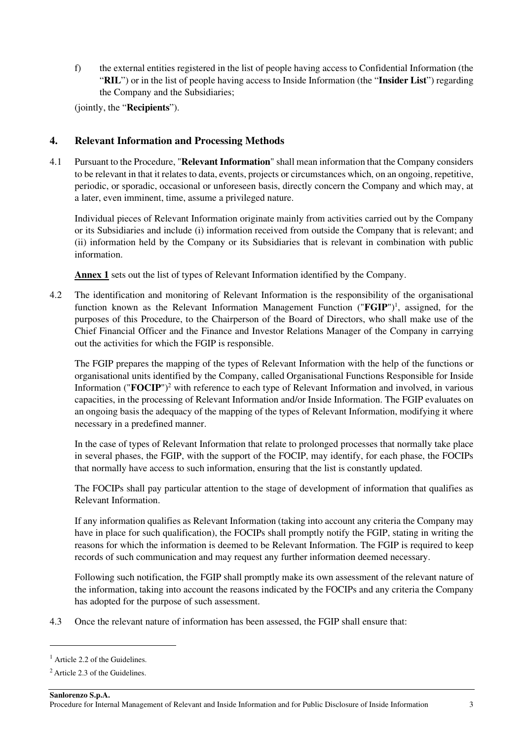f) the external entities registered in the list of people having access to Confidential Information (the "**RIL**") or in the list of people having access to Inside Information (the "**Insider List**") regarding the Company and the Subsidiaries;

(jointly, the "**Recipients**").

#### **4. Relevant Information and Processing Methods**

4.1 Pursuant to the Procedure, "**Relevant Information**" shall mean information that the Company considers to be relevant in that it relates to data, events, projects or circumstances which, on an ongoing, repetitive, periodic, or sporadic, occasional or unforeseen basis, directly concern the Company and which may, at a later, even imminent, time, assume a privileged nature.

Individual pieces of Relevant Information originate mainly from activities carried out by the Company or its Subsidiaries and include (i) information received from outside the Company that is relevant; and (ii) information held by the Company or its Subsidiaries that is relevant in combination with public information.

**Annex 1** sets out the list of types of Relevant Information identified by the Company.

4.2 The identification and monitoring of Relevant Information is the responsibility of the organisational function known as the Relevant Information Management Function ("FGIP")<sup>1</sup>, assigned, for the purposes of this Procedure, to the Chairperson of the Board of Directors, who shall make use of the Chief Financial Officer and the Finance and Investor Relations Manager of the Company in carrying out the activities for which the FGIP is responsible.

The FGIP prepares the mapping of the types of Relevant Information with the help of the functions or organisational units identified by the Company, called Organisational Functions Responsible for Inside Information ("FOCIP")<sup>2</sup> with reference to each type of Relevant Information and involved, in various capacities, in the processing of Relevant Information and/or Inside Information. The FGIP evaluates on an ongoing basis the adequacy of the mapping of the types of Relevant Information, modifying it where necessary in a predefined manner.

In the case of types of Relevant Information that relate to prolonged processes that normally take place in several phases, the FGIP, with the support of the FOCIP, may identify, for each phase, the FOCIPs that normally have access to such information, ensuring that the list is constantly updated.

The FOCIPs shall pay particular attention to the stage of development of information that qualifies as Relevant Information.

If any information qualifies as Relevant Information (taking into account any criteria the Company may have in place for such qualification), the FOCIPs shall promptly notify the FGIP, stating in writing the reasons for which the information is deemed to be Relevant Information. The FGIP is required to keep records of such communication and may request any further information deemed necessary.

Following such notification, the FGIP shall promptly make its own assessment of the relevant nature of the information, taking into account the reasons indicated by the FOCIPs and any criteria the Company has adopted for the purpose of such assessment.

4.3 Once the relevant nature of information has been assessed, the FGIP shall ensure that:

**Sanlorenzo S.p.A.** 

<sup>&</sup>lt;sup>1</sup> Article 2.2 of the Guidelines.

<sup>&</sup>lt;sup>2</sup> Article 2.3 of the Guidelines.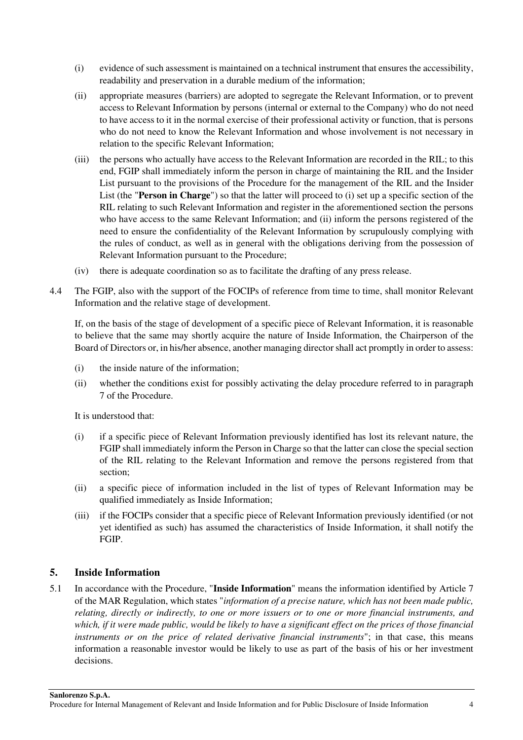- (i) evidence of such assessment is maintained on a technical instrument that ensures the accessibility, readability and preservation in a durable medium of the information;
- (ii) appropriate measures (barriers) are adopted to segregate the Relevant Information, or to prevent access to Relevant Information by persons (internal or external to the Company) who do not need to have access to it in the normal exercise of their professional activity or function, that is persons who do not need to know the Relevant Information and whose involvement is not necessary in relation to the specific Relevant Information;
- (iii) the persons who actually have access to the Relevant Information are recorded in the RIL; to this end, FGIP shall immediately inform the person in charge of maintaining the RIL and the Insider List pursuant to the provisions of the Procedure for the management of the RIL and the Insider List (the "**Person in Charge**") so that the latter will proceed to (i) set up a specific section of the RIL relating to such Relevant Information and register in the aforementioned section the persons who have access to the same Relevant Information; and (ii) inform the persons registered of the need to ensure the confidentiality of the Relevant Information by scrupulously complying with the rules of conduct, as well as in general with the obligations deriving from the possession of Relevant Information pursuant to the Procedure;
- (iv) there is adequate coordination so as to facilitate the drafting of any press release.
- 4.4 The FGIP, also with the support of the FOCIPs of reference from time to time, shall monitor Relevant Information and the relative stage of development.

If, on the basis of the stage of development of a specific piece of Relevant Information, it is reasonable to believe that the same may shortly acquire the nature of Inside Information, the Chairperson of the Board of Directors or, in his/her absence, another managing director shall act promptly in order to assess:

- (i) the inside nature of the information;
- (ii) whether the conditions exist for possibly activating the delay procedure referred to in paragraph 7 of the Procedure.

It is understood that:

- (i) if a specific piece of Relevant Information previously identified has lost its relevant nature, the FGIP shall immediately inform the Person in Charge so that the latter can close the special section of the RIL relating to the Relevant Information and remove the persons registered from that section;
- (ii) a specific piece of information included in the list of types of Relevant Information may be qualified immediately as Inside Information;
- (iii) if the FOCIPs consider that a specific piece of Relevant Information previously identified (or not yet identified as such) has assumed the characteristics of Inside Information, it shall notify the FGIP.

## **5. Inside Information**

5.1 In accordance with the Procedure, "**Inside Information**" means the information identified by Article 7 of the MAR Regulation, which states "*information of a precise nature, which has not been made public, relating, directly or indirectly, to one or more issuers or to one or more financial instruments, and*  which, if it were made public, would be likely to have a significant effect on the prices of those financial *instruments or on the price of related derivative financial instruments*"; in that case, this means information a reasonable investor would be likely to use as part of the basis of his or her investment decisions.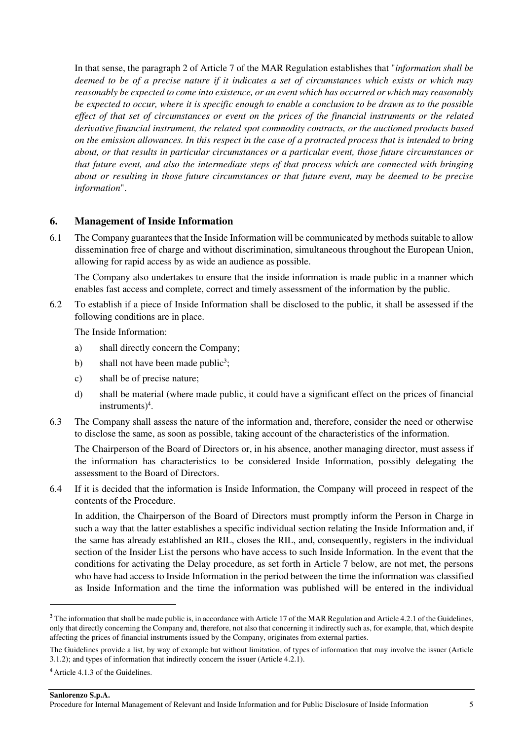In that sense, the paragraph 2 of Article 7 of the MAR Regulation establishes that "*information shall be deemed to be of a precise nature if it indicates a set of circumstances which exists or which may reasonably be expected to come into existence, or an event which has occurred or which may reasonably be expected to occur, where it is specific enough to enable a conclusion to be drawn as to the possible effect of that set of circumstances or event on the prices of the financial instruments or the related derivative financial instrument, the related spot commodity contracts, or the auctioned products based on the emission allowances. In this respect in the case of a protracted process that is intended to bring about, or that results in particular circumstances or a particular event, those future circumstances or that future event, and also the intermediate steps of that process which are connected with bringing about or resulting in those future circumstances or that future event, may be deemed to be precise information*".

#### **6. Management of Inside Information**

6.1 The Company guarantees that the Inside Information will be communicated by methods suitable to allow dissemination free of charge and without discrimination, simultaneous throughout the European Union, allowing for rapid access by as wide an audience as possible.

The Company also undertakes to ensure that the inside information is made public in a manner which enables fast access and complete, correct and timely assessment of the information by the public.

6.2 To establish if a piece of Inside Information shall be disclosed to the public, it shall be assessed if the following conditions are in place.

The Inside Information:

- a) shall directly concern the Company;
- b) shall not have been made public<sup>3</sup>;
- c) shall be of precise nature;
- d) shall be material (where made public, it could have a significant effect on the prices of financial  $in$ struments $)^4$ .
- 6.3 The Company shall assess the nature of the information and, therefore, consider the need or otherwise to disclose the same, as soon as possible, taking account of the characteristics of the information.

The Chairperson of the Board of Directors or, in his absence, another managing director, must assess if the information has characteristics to be considered Inside Information, possibly delegating the assessment to the Board of Directors.

6.4 If it is decided that the information is Inside Information, the Company will proceed in respect of the contents of the Procedure.

In addition, the Chairperson of the Board of Directors must promptly inform the Person in Charge in such a way that the latter establishes a specific individual section relating the Inside Information and, if the same has already established an RIL, closes the RIL, and, consequently, registers in the individual section of the Insider List the persons who have access to such Inside Information. In the event that the conditions for activating the Delay procedure, as set forth in Article 7 below, are not met, the persons who have had access to Inside Information in the period between the time the information was classified as Inside Information and the time the information was published will be entered in the individual

<sup>&</sup>lt;sup>3</sup> The information that shall be made public is, in accordance with Article 17 of the MAR Regulation and Article 4.2.1 of the Guidelines, only that directly concerning the Company and, therefore, not also that concerning it indirectly such as, for example, that, which despite affecting the prices of financial instruments issued by the Company, originates from external parties.

The Guidelines provide a list, by way of example but without limitation, of types of information that may involve the issuer (Article 3.1.2); and types of information that indirectly concern the issuer (Article 4.2.1).

<sup>4</sup>Article 4.1.3 of the Guidelines.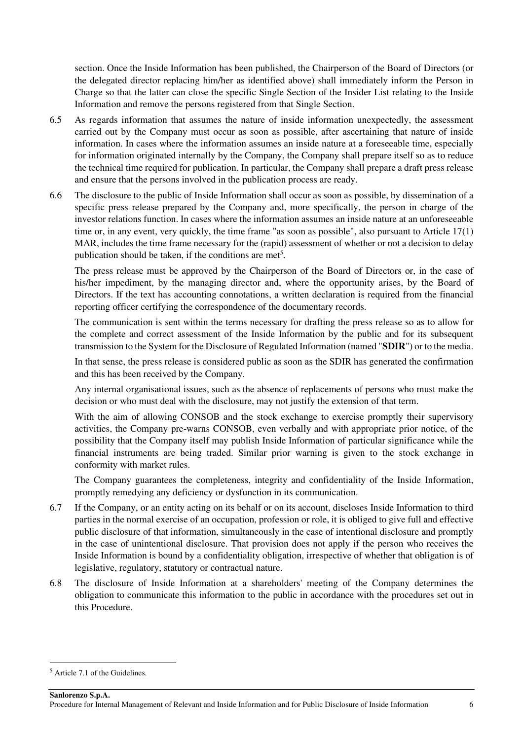section. Once the Inside Information has been published, the Chairperson of the Board of Directors (or the delegated director replacing him/her as identified above) shall immediately inform the Person in Charge so that the latter can close the specific Single Section of the Insider List relating to the Inside Information and remove the persons registered from that Single Section.

- 6.5 As regards information that assumes the nature of inside information unexpectedly, the assessment carried out by the Company must occur as soon as possible, after ascertaining that nature of inside information. In cases where the information assumes an inside nature at a foreseeable time, especially for information originated internally by the Company, the Company shall prepare itself so as to reduce the technical time required for publication. In particular, the Company shall prepare a draft press release and ensure that the persons involved in the publication process are ready.
- 6.6 The disclosure to the public of Inside Information shall occur as soon as possible, by dissemination of a specific press release prepared by the Company and, more specifically, the person in charge of the investor relations function. In cases where the information assumes an inside nature at an unforeseeable time or, in any event, very quickly, the time frame "as soon as possible", also pursuant to Article 17(1) MAR, includes the time frame necessary for the (rapid) assessment of whether or not a decision to delay publication should be taken, if the conditions are met<sup>5</sup>.

The press release must be approved by the Chairperson of the Board of Directors or, in the case of his/her impediment, by the managing director and, where the opportunity arises, by the Board of Directors. If the text has accounting connotations, a written declaration is required from the financial reporting officer certifying the correspondence of the documentary records.

The communication is sent within the terms necessary for drafting the press release so as to allow for the complete and correct assessment of the Inside Information by the public and for its subsequent transmission to the System for the Disclosure of Regulated Information (named "**SDIR**") or to the media.

In that sense, the press release is considered public as soon as the SDIR has generated the confirmation and this has been received by the Company.

Any internal organisational issues, such as the absence of replacements of persons who must make the decision or who must deal with the disclosure, may not justify the extension of that term.

With the aim of allowing CONSOB and the stock exchange to exercise promptly their supervisory activities, the Company pre-warns CONSOB, even verbally and with appropriate prior notice, of the possibility that the Company itself may publish Inside Information of particular significance while the financial instruments are being traded. Similar prior warning is given to the stock exchange in conformity with market rules.

The Company guarantees the completeness, integrity and confidentiality of the Inside Information, promptly remedying any deficiency or dysfunction in its communication.

- 6.7 If the Company, or an entity acting on its behalf or on its account, discloses Inside Information to third parties in the normal exercise of an occupation, profession or role, it is obliged to give full and effective public disclosure of that information, simultaneously in the case of intentional disclosure and promptly in the case of unintentional disclosure. That provision does not apply if the person who receives the Inside Information is bound by a confidentiality obligation, irrespective of whether that obligation is of legislative, regulatory, statutory or contractual nature.
- 6.8 The disclosure of Inside Information at a shareholders' meeting of the Company determines the obligation to communicate this information to the public in accordance with the procedures set out in this Procedure.

<sup>5</sup> Article 7.1 of the Guidelines.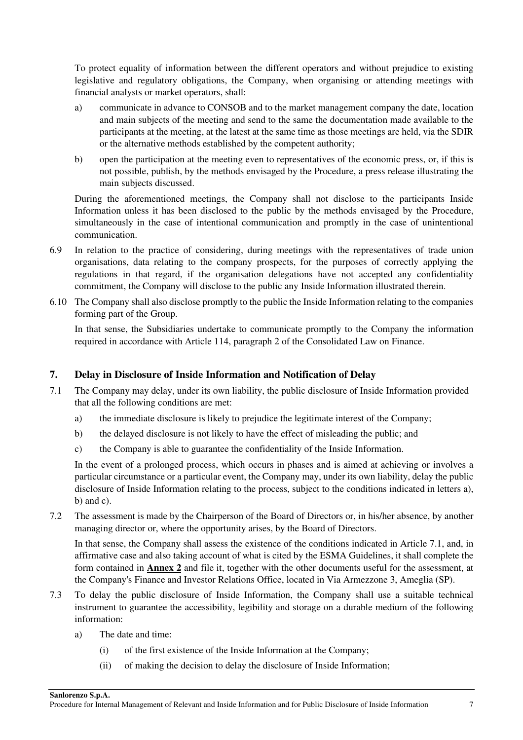To protect equality of information between the different operators and without prejudice to existing legislative and regulatory obligations, the Company, when organising or attending meetings with financial analysts or market operators, shall:

- a) communicate in advance to CONSOB and to the market management company the date, location and main subjects of the meeting and send to the same the documentation made available to the participants at the meeting, at the latest at the same time as those meetings are held, via the SDIR or the alternative methods established by the competent authority;
- b) open the participation at the meeting even to representatives of the economic press, or, if this is not possible, publish, by the methods envisaged by the Procedure, a press release illustrating the main subjects discussed.

During the aforementioned meetings, the Company shall not disclose to the participants Inside Information unless it has been disclosed to the public by the methods envisaged by the Procedure, simultaneously in the case of intentional communication and promptly in the case of unintentional communication.

- 6.9 In relation to the practice of considering, during meetings with the representatives of trade union organisations, data relating to the company prospects, for the purposes of correctly applying the regulations in that regard, if the organisation delegations have not accepted any confidentiality commitment, the Company will disclose to the public any Inside Information illustrated therein.
- 6.10 The Company shall also disclose promptly to the public the Inside Information relating to the companies forming part of the Group.

In that sense, the Subsidiaries undertake to communicate promptly to the Company the information required in accordance with Article 114, paragraph 2 of the Consolidated Law on Finance.

## **7. Delay in Disclosure of Inside Information and Notification of Delay**

- 7.1 The Company may delay, under its own liability, the public disclosure of Inside Information provided that all the following conditions are met:
	- a) the immediate disclosure is likely to prejudice the legitimate interest of the Company;
	- b) the delayed disclosure is not likely to have the effect of misleading the public; and
	- c) the Company is able to guarantee the confidentiality of the Inside Information.

In the event of a prolonged process, which occurs in phases and is aimed at achieving or involves a particular circumstance or a particular event, the Company may, under its own liability, delay the public disclosure of Inside Information relating to the process, subject to the conditions indicated in letters a),  $b)$  and  $c)$ .

7.2 The assessment is made by the Chairperson of the Board of Directors or, in his/her absence, by another managing director or, where the opportunity arises, by the Board of Directors.

In that sense, the Company shall assess the existence of the conditions indicated in Article 7.1, and, in affirmative case and also taking account of what is cited by the ESMA Guidelines, it shall complete the form contained in **Annex 2** and file it, together with the other documents useful for the assessment, at the Company's Finance and Investor Relations Office, located in Via Armezzone 3, Ameglia (SP).

- 7.3 To delay the public disclosure of Inside Information, the Company shall use a suitable technical instrument to guarantee the accessibility, legibility and storage on a durable medium of the following information:
	- a) The date and time:
		- (i) of the first existence of the Inside Information at the Company;
		- (ii) of making the decision to delay the disclosure of Inside Information;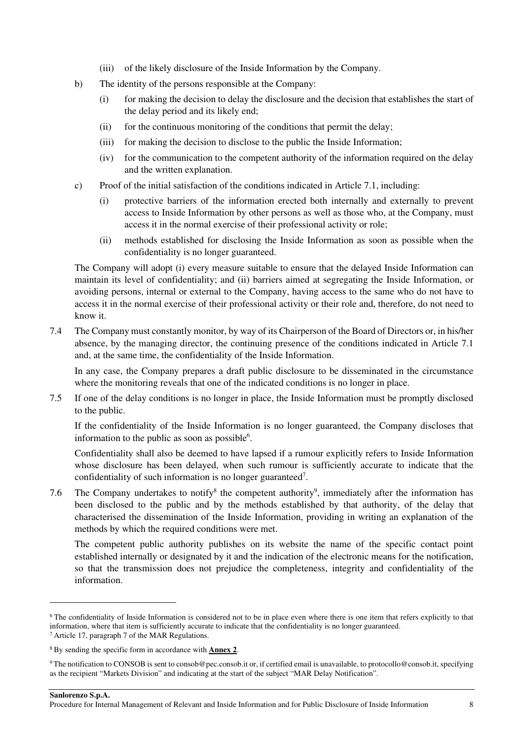- (iii) of the likely disclosure of the Inside Information by the Company.
- b) The identity of the persons responsible at the Company:
	- (i) for making the decision to delay the disclosure and the decision that establishes the start of the delay period and its likely end;
	- (ii) for the continuous monitoring of the conditions that permit the delay;
	- (iii) for making the decision to disclose to the public the Inside Information;
	- (iv) for the communication to the competent authority of the information required on the delay and the written explanation.
- c) Proof of the initial satisfaction of the conditions indicated in Article 7.1, including:
	- (i) protective barriers of the information erected both internally and externally to prevent access to Inside Information by other persons as well as those who, at the Company, must access it in the normal exercise of their professional activity or role;
	- (ii) methods established for disclosing the Inside Information as soon as possible when the confidentiality is no longer guaranteed.

The Company will adopt (i) every measure suitable to ensure that the delayed Inside Information can maintain its level of confidentiality; and (ii) barriers aimed at segregating the Inside Information, or avoiding persons, internal or external to the Company, having access to the same who do not have to access it in the normal exercise of their professional activity or their role and, therefore, do not need to know it.

7.4 The Company must constantly monitor, by way of its Chairperson of the Board of Directors or, in his/her absence, by the managing director, the continuing presence of the conditions indicated in Article 7.1 and, at the same time, the confidentiality of the Inside Information.

In any case, the Company prepares a draft public disclosure to be disseminated in the circumstance where the monitoring reveals that one of the indicated conditions is no longer in place.

7.5 If one of the delay conditions is no longer in place, the Inside Information must be promptly disclosed to the public.

If the confidentiality of the Inside Information is no longer guaranteed, the Company discloses that information to the public as soon as possible<sup>6</sup>.

Confidentiality shall also be deemed to have lapsed if a rumour explicitly refers to Inside Information whose disclosure has been delayed, when such rumour is sufficiently accurate to indicate that the confidentiality of such information is no longer guaranteed<sup>7</sup>.

7.6 The Company undertakes to notify<sup>8</sup> the competent authority<sup>9</sup>, immediately after the information has been disclosed to the public and by the methods established by that authority, of the delay that characterised the dissemination of the Inside Information, providing in writing an explanation of the methods by which the required conditions were met.

The competent public authority publishes on its website the name of the specific contact point established internally or designated by it and the indication of the electronic means for the notification, so that the transmission does not prejudice the completeness, integrity and confidentiality of the information.

**Sanlorenzo S.p.A.**  Procedure for Internal Management of Relevant and Inside Information and for Public Disclosure of Inside Information 8

<sup>&</sup>lt;sup>6</sup>The confidentiality of Inside Information is considered not to be in place even where there is one item that refers explicitly to that information, where that item is sufficiently accurate to indicate that the confidentiality is no longer guaranteed. <sup>7</sup>Article 17, paragraph 7 of the MAR Regulations.

<sup>8</sup>By sending the specific form in accordance with **Annex 2**.

<sup>9</sup>The notification to CONSOB is sent to consob@pec.consob.it or, if certified email is unavailable, to protocollo@consob.it, specifying as the recipient "Markets Division" and indicating at the start of the subject "MAR Delay Notification".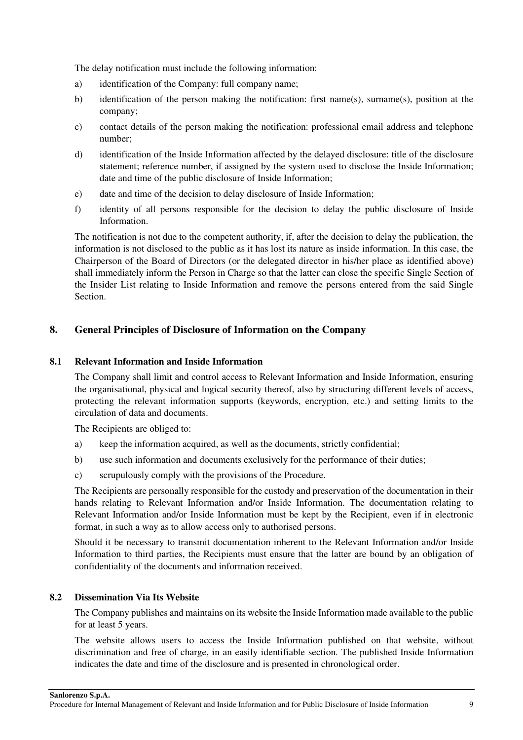The delay notification must include the following information:

- a) identification of the Company: full company name;
- b) identification of the person making the notification: first name(s), surname(s), position at the company;
- c) contact details of the person making the notification: professional email address and telephone number;
- d) identification of the Inside Information affected by the delayed disclosure: title of the disclosure statement; reference number, if assigned by the system used to disclose the Inside Information; date and time of the public disclosure of Inside Information;
- e) date and time of the decision to delay disclosure of Inside Information;
- f) identity of all persons responsible for the decision to delay the public disclosure of Inside Information.

The notification is not due to the competent authority, if, after the decision to delay the publication, the information is not disclosed to the public as it has lost its nature as inside information. In this case, the Chairperson of the Board of Directors (or the delegated director in his/her place as identified above) shall immediately inform the Person in Charge so that the latter can close the specific Single Section of the Insider List relating to Inside Information and remove the persons entered from the said Single **Section** 

#### **8. General Principles of Disclosure of Information on the Company**

#### **8.1 Relevant Information and Inside Information**

The Company shall limit and control access to Relevant Information and Inside Information, ensuring the organisational, physical and logical security thereof, also by structuring different levels of access, protecting the relevant information supports (keywords, encryption, etc.) and setting limits to the circulation of data and documents.

The Recipients are obliged to:

- a) keep the information acquired, as well as the documents, strictly confidential;
- b) use such information and documents exclusively for the performance of their duties;
- c) scrupulously comply with the provisions of the Procedure.

The Recipients are personally responsible for the custody and preservation of the documentation in their hands relating to Relevant Information and/or Inside Information. The documentation relating to Relevant Information and/or Inside Information must be kept by the Recipient, even if in electronic format, in such a way as to allow access only to authorised persons.

Should it be necessary to transmit documentation inherent to the Relevant Information and/or Inside Information to third parties, the Recipients must ensure that the latter are bound by an obligation of confidentiality of the documents and information received.

#### **8.2 Dissemination Via Its Website**

The Company publishes and maintains on its website the Inside Information made available to the public for at least 5 years.

The website allows users to access the Inside Information published on that website, without discrimination and free of charge, in an easily identifiable section. The published Inside Information indicates the date and time of the disclosure and is presented in chronological order.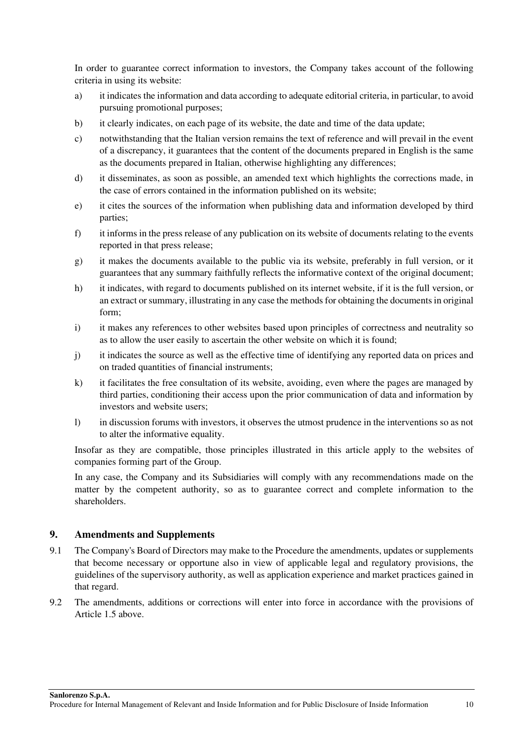In order to guarantee correct information to investors, the Company takes account of the following criteria in using its website:

- a) it indicates the information and data according to adequate editorial criteria, in particular, to avoid pursuing promotional purposes;
- b) it clearly indicates, on each page of its website, the date and time of the data update;
- c) notwithstanding that the Italian version remains the text of reference and will prevail in the event of a discrepancy, it guarantees that the content of the documents prepared in English is the same as the documents prepared in Italian, otherwise highlighting any differences;
- d) it disseminates, as soon as possible, an amended text which highlights the corrections made, in the case of errors contained in the information published on its website;
- e) it cites the sources of the information when publishing data and information developed by third parties;
- f) it informs in the press release of any publication on its website of documents relating to the events reported in that press release;
- g) it makes the documents available to the public via its website, preferably in full version, or it guarantees that any summary faithfully reflects the informative context of the original document;
- h) it indicates, with regard to documents published on its internet website, if it is the full version, or an extract or summary, illustrating in any case the methods for obtaining the documents in original form;
- i) it makes any references to other websites based upon principles of correctness and neutrality so as to allow the user easily to ascertain the other website on which it is found;
- j) it indicates the source as well as the effective time of identifying any reported data on prices and on traded quantities of financial instruments;
- k) it facilitates the free consultation of its website, avoiding, even where the pages are managed by third parties, conditioning their access upon the prior communication of data and information by investors and website users;
- l) in discussion forums with investors, it observes the utmost prudence in the interventions so as not to alter the informative equality.

Insofar as they are compatible, those principles illustrated in this article apply to the websites of companies forming part of the Group.

In any case, the Company and its Subsidiaries will comply with any recommendations made on the matter by the competent authority, so as to guarantee correct and complete information to the shareholders.

#### **9. Amendments and Supplements**

- 9.1 The Company's Board of Directors may make to the Procedure the amendments, updates or supplements that become necessary or opportune also in view of applicable legal and regulatory provisions, the guidelines of the supervisory authority, as well as application experience and market practices gained in that regard.
- 9.2 The amendments, additions or corrections will enter into force in accordance with the provisions of Article 1.5 above.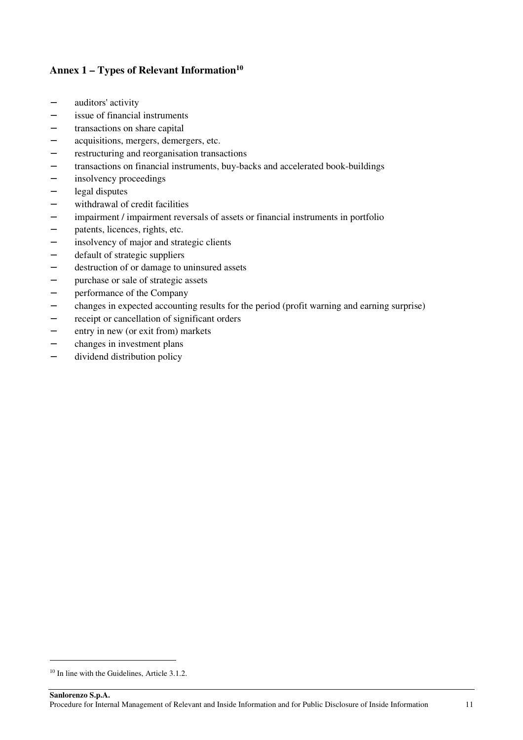### **Annex 1 – Types of Relevant Information<sup>10</sup>**

- − auditors' activity
- − issue of financial instruments
- transactions on share capital
- − acquisitions, mergers, demergers, etc.
- − restructuring and reorganisation transactions
- transactions on financial instruments, buy-backs and accelerated book-buildings
- − insolvency proceedings
- − legal disputes
- − withdrawal of credit facilities
- impairment / impairment reversals of assets or financial instruments in portfolio
- − patents, licences, rights, etc.
- insolvency of major and strategic clients
- − default of strategic suppliers
- − destruction of or damage to uninsured assets
- − purchase or sale of strategic assets
- − performance of the Company
- − changes in expected accounting results for the period (profit warning and earning surprise)
- − receipt or cancellation of significant orders
- − entry in new (or exit from) markets
- − changes in investment plans
- − dividend distribution policy

<sup>&</sup>lt;sup>10</sup> In line with the Guidelines, Article 3.1.2.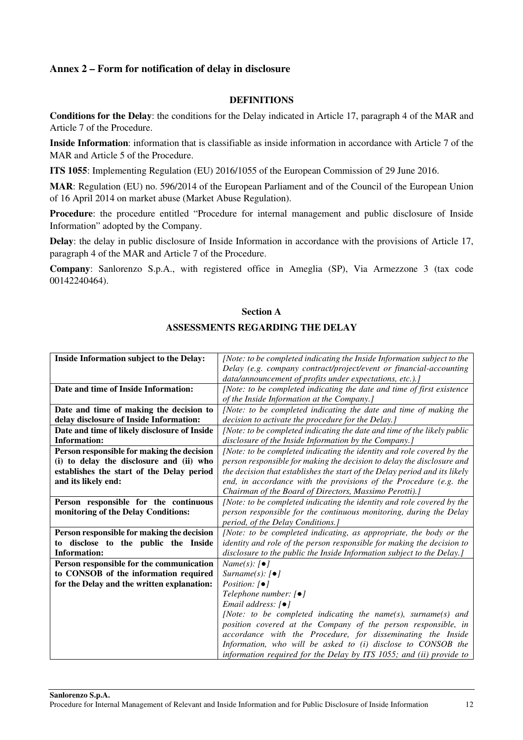#### **Annex 2 – Form for notification of delay in disclosure**

#### **DEFINITIONS**

**Conditions for the Delay**: the conditions for the Delay indicated in Article 17, paragraph 4 of the MAR and Article 7 of the Procedure.

**Inside Information**: information that is classifiable as inside information in accordance with Article 7 of the MAR and Article 5 of the Procedure.

**ITS 1055**: Implementing Regulation (EU) 2016/1055 of the European Commission of 29 June 2016.

**MAR**: Regulation (EU) no. 596/2014 of the European Parliament and of the Council of the European Union of 16 April 2014 on market abuse (Market Abuse Regulation).

**Procedure**: the procedure entitled "Procedure for internal management and public disclosure of Inside Information" adopted by the Company.

**Delay**: the delay in public disclosure of Inside Information in accordance with the provisions of Article 17, paragraph 4 of the MAR and Article 7 of the Procedure.

**Company**: Sanlorenzo S.p.A., with registered office in Ameglia (SP), Via Armezzone 3 (tax code 00142240464).

#### **Section A**

#### **ASSESSMENTS REGARDING THE DELAY**

| Inside Information subject to the Delay:     | [Note: to be completed indicating the Inside Information subject to the    |
|----------------------------------------------|----------------------------------------------------------------------------|
|                                              | Delay (e.g. company contract/project/event or financial-accounting         |
|                                              | data/announcement of profits under expectations, etc.).]                   |
| Date and time of Inside Information:         | [Note: to be completed indicating the date and time of first existence     |
|                                              | of the Inside Information at the Company.]                                 |
| Date and time of making the decision to      | [Note: to be completed indicating the date and time of making the          |
| delay disclosure of Inside Information:      | decision to activate the procedure for the Delay.]                         |
| Date and time of likely disclosure of Inside | [Note: to be completed indicating the date and time of the likely public   |
| <b>Information:</b>                          | disclosure of the Inside Information by the Company.]                      |
| Person responsible for making the decision   | [Note: to be completed indicating the identity and role covered by the     |
| (i) to delay the disclosure and (ii) who     | person responsible for making the decision to delay the disclosure and     |
| establishes the start of the Delay period    | the decision that establishes the start of the Delay period and its likely |
| and its likely end:                          | end, in accordance with the provisions of the Procedure (e.g. the          |
|                                              | Chairman of the Board of Directors, Massimo Perotti).]                     |
| Person responsible for the continuous        | [Note: to be completed indicating the identity and role covered by the     |
| monitoring of the Delay Conditions:          | person responsible for the continuous monitoring, during the Delay         |
|                                              | period, of the Delay Conditions.]                                          |
| Person responsible for making the decision   | [Note: to be completed indicating, as appropriate, the body or the         |
| disclose to the public the Inside<br>to      | identity and role of the person responsible for making the decision to     |
| <b>Information:</b>                          | disclosure to the public the Inside Information subject to the Delay.]     |
| Person responsible for the communication     | $Name(s): [ \bullet ]$                                                     |
| to CONSOB of the information required        | Surname(s): $\lceil \bullet \rceil$                                        |
| for the Delay and the written explanation:   | Position: $\lceil \bullet \rceil$                                          |
|                                              | Telephone number: [●]                                                      |
|                                              | Email address: $[•]$                                                       |
|                                              | [Note: to be completed indicating the name(s), surname(s) and              |
|                                              | position covered at the Company of the person responsible, in              |
|                                              | accordance with the Procedure, for disseminating the Inside                |
|                                              | Information, who will be asked to (i) disclose to CONSOB the               |
|                                              | information required for the Delay by ITS 1055; and (ii) provide to        |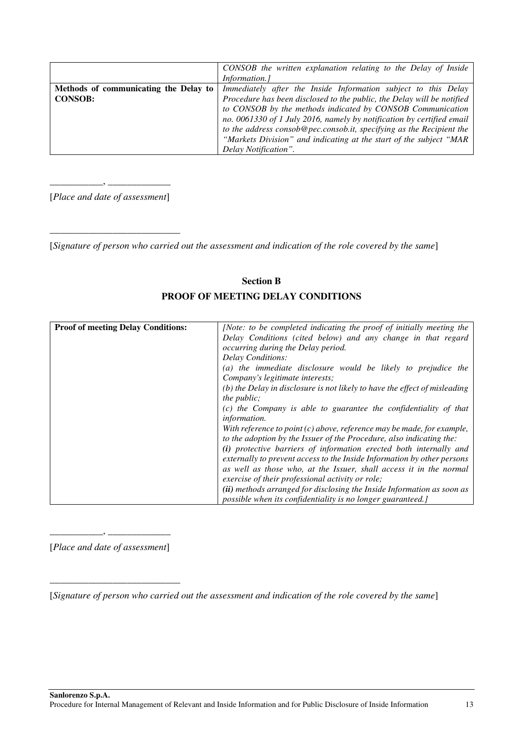|                                       | CONSOB the written explanation relating to the Delay of Inside         |
|---------------------------------------|------------------------------------------------------------------------|
|                                       | Information.]                                                          |
| Methods of communicating the Delay to | Immediately after the Inside Information subject to this Delay         |
| <b>CONSOB:</b>                        | Procedure has been disclosed to the public, the Delay will be notified |
|                                       | to CONSOB by the methods indicated by CONSOB Communication             |
|                                       | no. 0061330 of 1 July 2016, namely by notification by certified email  |
|                                       | to the address consob@pec.consob.it, specifying as the Recipient the   |
|                                       | "Markets Division" and indicating at the start of the subject "MAR"    |
|                                       | Delay Notification".                                                   |

\_\_\_\_\_\_\_\_\_\_\_, \_\_\_\_\_\_\_\_\_\_\_\_\_ [*Place and date of assessment*]

\_\_\_\_\_\_\_\_\_\_\_\_\_\_\_\_\_\_\_\_\_\_\_\_\_\_\_

[*Signature of person who carried out the assessment and indication of the role covered by the same*]

## **Section B PROOF OF MEETING DELAY CONDITIONS**

| <b>Proof of meeting Delay Conditions:</b> | [Note: to be completed indicating the proof of initially meeting the       |
|-------------------------------------------|----------------------------------------------------------------------------|
|                                           |                                                                            |
|                                           | Delay Conditions (cited below) and any change in that regard               |
|                                           | <i>occurring during the Delay period.</i>                                  |
|                                           | Delay Conditions:                                                          |
|                                           | (a) the immediate disclosure would be likely to prejudice the              |
|                                           | Company's legitimate interests;                                            |
|                                           | (b) the Delay in disclosure is not likely to have the effect of misleading |
|                                           | the $public;$                                                              |
|                                           | $(c)$ the Company is able to guarantee the confidentiality of that         |
|                                           | information.                                                               |
|                                           | With reference to point $(c)$ above, reference may be made, for example,   |
|                                           | to the adoption by the Issuer of the Procedure, also indicating the:       |
|                                           | (i) protective barriers of information erected both internally and         |
|                                           | externally to prevent access to the Inside Information by other persons    |
|                                           | as well as those who, at the Issuer, shall access it in the normal         |
|                                           | exercise of their professional activity or role;                           |
|                                           | (ii) methods arranged for disclosing the Inside Information as soon as     |
|                                           | possible when its confidentiality is no longer guaranteed.                 |

 $\overline{\phantom{a}}$ . [*Place and date of assessment*]

\_\_\_\_\_\_\_\_\_\_\_\_\_\_\_\_\_\_\_\_\_\_\_\_\_\_\_

[*Signature of person who carried out the assessment and indication of the role covered by the same*]